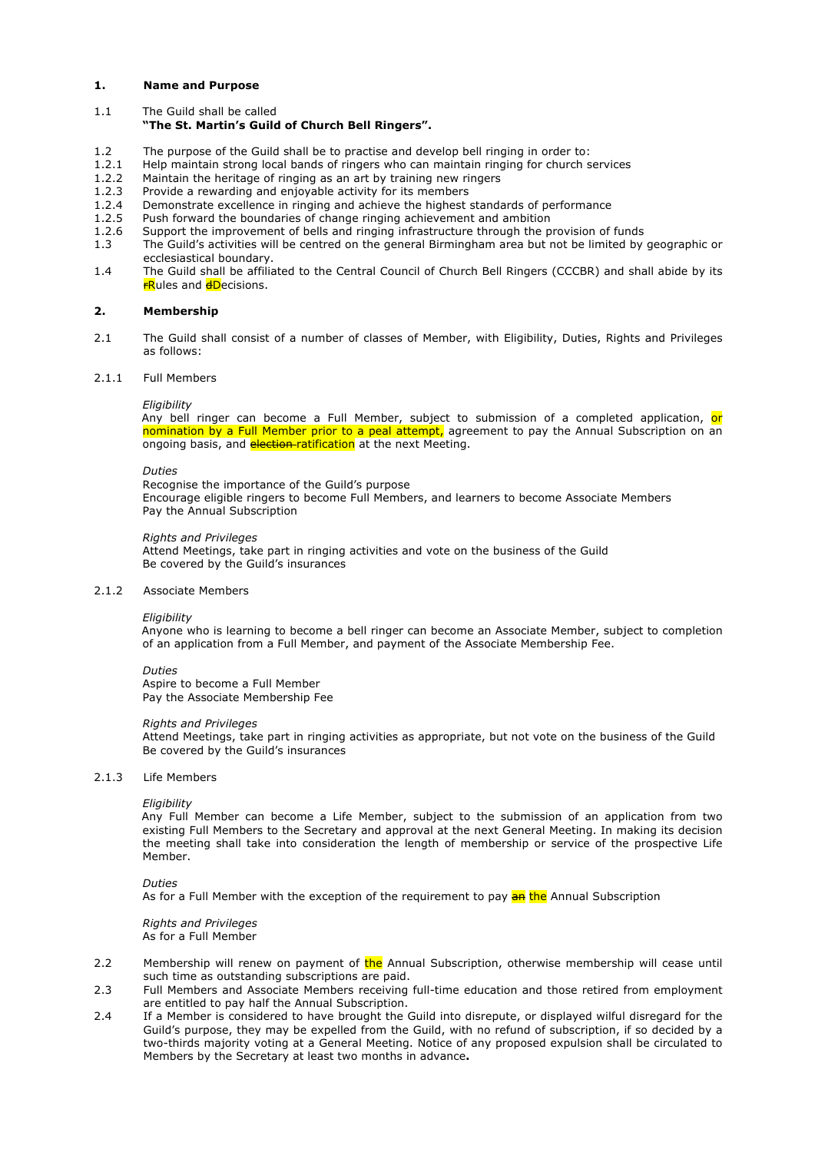## **1. Name and Purpose**

1.1 The Guild shall be called

# **"The St. Martin's Guild of Church Bell Ringers".**

- 1.2 The purpose of the Guild shall be to practise and develop bell ringing in order to:
- 1.2.1 Help maintain strong local bands of ringers who can maintain ringing for church services
- 1.2.2 Maintain the heritage of ringing as an art by training new ringers
- 1.2.3 Provide a rewarding and enjoyable activity for its members 1.2.4 Demonstrate excellence in ringing and achieve the highest
- Demonstrate excellence in ringing and achieve the highest standards of performance
- 1.2.5 Push forward the boundaries of change ringing achievement and ambition
- 1.2.6 Support the improvement of bells and ringing infrastructure through the provision of funds
- 1.3 The Guild's activities will be centred on the general Birmingham area but not be limited by geographic or ecclesiastical boundary.
- 1.4 The Guild shall be affiliated to the Central Council of Church Bell Ringers (CCCBR) and shall abide by its **FRules and dDecisions.**

# **2. Membership**

2.1 The Guild shall consist of a number of classes of Member, with Eligibility, Duties, Rights and Privileges as follows:

#### 2.1.1 Full Members

#### *Eligibility*

Any bell ringer can become a Full Member, subject to submission of a completed application, or nomination by a Full Member prior to a peal attempt, agreement to pay the Annual Subscription on an ongoing basis, and election-ratification at the next Meeting.

#### *Duties*

Recognise the importance of the Guild's purpose Encourage eligible ringers to become Full Members, and learners to become Associate Members Pay the Annual Subscription

### *Rights and Privileges*

Attend Meetings, take part in ringing activities and vote on the business of the Guild Be covered by the Guild's insurances

#### 2.1.2 Associate Members

#### *Eligibility*

Anyone who is learning to become a bell ringer can become an Associate Member, subject to completion of an application from a Full Member, and payment of the Associate Membership Fee.

#### *Duties*

Aspire to become a Full Member Pay the Associate Membership Fee

#### *Rights and Privileges*

Attend Meetings, take part in ringing activities as appropriate, but not vote on the business of the Guild Be covered by the Guild's insurances

#### 2.1.3 Life Members

#### *Eligibility*

Any Full Member can become a Life Member, subject to the submission of an application from two existing Full Members to the Secretary and approval at the next General Meeting. In making its decision the meeting shall take into consideration the length of membership or service of the prospective Life Member.

#### *Duties*

As for a Full Member with the exception of the requirement to pay **an the** Annual Subscription

*Rights and Privileges* As for a Full Member

- 2.2 Membership will renew on payment of the Annual Subscription, otherwise membership will cease until such time as outstanding subscriptions are paid.
- 2.3 Full Members and Associate Members receiving full-time education and those retired from employment are entitled to pay half the Annual Subscription.
- 2.4 If a Member is considered to have brought the Guild into disrepute, or displayed wilful disregard for the Guild's purpose, they may be expelled from the Guild, with no refund of subscription, if so decided by a two-thirds majority voting at a General Meeting. Notice of any proposed expulsion shall be circulated to Members by the Secretary at least two months in advance**.**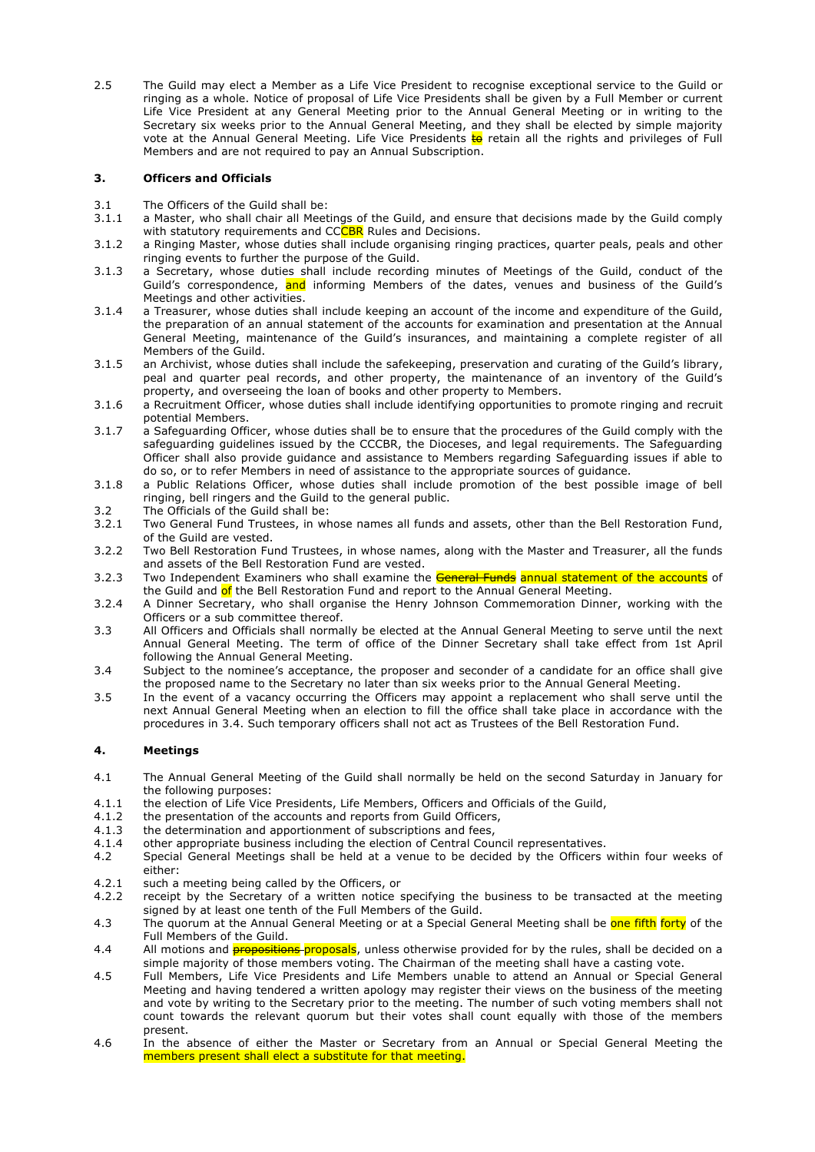2.5 The Guild may elect a Member as a Life Vice President to recognise exceptional service to the Guild or ringing as a whole. Notice of proposal of Life Vice Presidents shall be given by a Full Member or current Life Vice President at any General Meeting prior to the Annual General Meeting or in writing to the Secretary six weeks prior to the Annual General Meeting, and they shall be elected by simple majority vote at the Annual General Meeting. Life Vice Presidents to retain all the rights and privileges of Full Members and are not required to pay an Annual Subscription.

# **3. Officers and Officials**

- 3.1 The Officers of the Guild shall be:
- 3.1.1 a Master, who shall chair all Meetings of the Guild, and ensure that decisions made by the Guild comply with statutory requirements and CCCBR Rules and Decisions.
- 3.1.2 a Ringing Master, whose duties shall include organising ringing practices, quarter peals, peals and other ringing events to further the purpose of the Guild.
- 3.1.3 a Secretary, whose duties shall include recording minutes of Meetings of the Guild, conduct of the Guild's correspondence, and informing Members of the dates, venues and business of the Guild's Meetings and other activities.
- 3.1.4 a Treasurer, whose duties shall include keeping an account of the income and expenditure of the Guild, the preparation of an annual statement of the accounts for examination and presentation at the Annual General Meeting, maintenance of the Guild's insurances, and maintaining a complete register of all Members of the Guild.
- 3.1.5 an Archivist, whose duties shall include the safekeeping, preservation and curating of the Guild's library, peal and quarter peal records, and other property, the maintenance of an inventory of the Guild's property, and overseeing the loan of books and other property to Members.
- 3.1.6 a Recruitment Officer, whose duties shall include identifying opportunities to promote ringing and recruit potential Members.
- 3.1.7 a Safeguarding Officer, whose duties shall be to ensure that the procedures of the Guild comply with the safeguarding guidelines issued by the CCCBR, the Dioceses, and legal requirements. The Safeguarding Officer shall also provide guidance and assistance to Members regarding Safeguarding issues if able to do so, or to refer Members in need of assistance to the appropriate sources of guidance.
- 3.1.8 a Public Relations Officer, whose duties shall include promotion of the best possible image of bell ringing, bell ringers and the Guild to the general public.
- 3.2 The Officials of the Guild shall be:
- 3.2.1 Two General Fund Trustees, in whose names all funds and assets, other than the Bell Restoration Fund, of the Guild are vested.
- 3.2.2 Two Bell Restoration Fund Trustees, in whose names, along with the Master and Treasurer, all the funds and assets of the Bell Restoration Fund are vested.
- 3.2.3 Two Independent Examiners who shall examine the **General Funds** annual statement of the accounts of the Guild and of the Bell Restoration Fund and report to the Annual General Meeting.
- 3.2.4 A Dinner Secretary, who shall organise the Henry Johnson Commemoration Dinner, working with the Officers or a sub committee thereof.
- 3.3 All Officers and Officials shall normally be elected at the Annual General Meeting to serve until the next Annual General Meeting. The term of office of the Dinner Secretary shall take effect from 1st April following the Annual General Meeting.
- 3.4 Subject to the nominee's acceptance, the proposer and seconder of a candidate for an office shall give the proposed name to the Secretary no later than six weeks prior to the Annual General Meeting.
- 3.5 In the event of a vacancy occurring the Officers may appoint a replacement who shall serve until the next Annual General Meeting when an election to fill the office shall take place in accordance with the procedures in 3.4. Such temporary officers shall not act as Trustees of the Bell Restoration Fund.

# **4. Meetings**

- 4.1 The Annual General Meeting of the Guild shall normally be held on the second Saturday in January for the following purposes:
- 4.1.1 the election of Life Vice Presidents, Life Members, Officers and Officials of the Guild,
- 4.1.2 the presentation of the accounts and reports from Guild Officers,<br>4.1.3 the determination and apportionment of subscriptions and fees.
- the determination and apportionment of subscriptions and fees,
- 4.1.4 other appropriate business including the election of Central Council representatives.
- 4.2 Special General Meetings shall be held at a venue to be decided by the Officers within four weeks of either:
- 4.2.1 such a meeting being called by the Officers, or
- 4.2.2 receipt by the Secretary of a written notice specifying the business to be transacted at the meeting signed by at least one tenth of the Full Members of the Guild.
- 4.3 The quorum at the Annual General Meeting or at a Special General Meeting shall be one fifth forty of the Full Members of the Guild.
- 4.4 All motions and **propositions** proposals, unless otherwise provided for by the rules, shall be decided on a simple majority of those members voting. The Chairman of the meeting shall have a casting vote.
- 4.5 Full Members, Life Vice Presidents and Life Members unable to attend an Annual or Special General Meeting and having tendered a written apology may register their views on the business of the meeting and vote by writing to the Secretary prior to the meeting. The number of such voting members shall not count towards the relevant quorum but their votes shall count equally with those of the members present.
- 4.6 In the absence of either the Master or Secretary from an Annual or Special General Meeting the members present shall elect a substitute for that meeting.